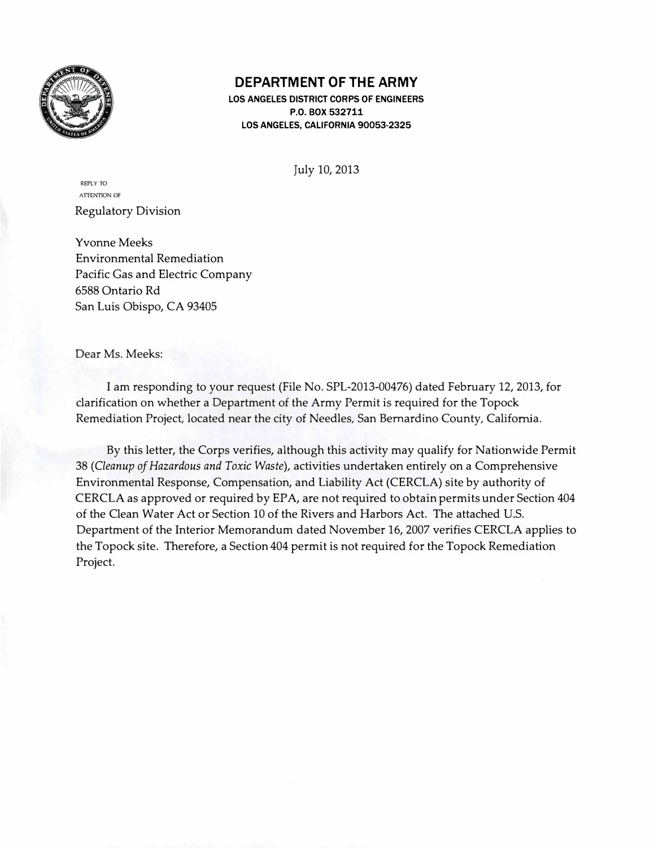

### **DEPARTMENT OF THE ARMY**

**LOS ANGELES DISTRICT CORPS OF ENGINEERS P.O. BOX 532711 LOS ANGELES, CALIFORNIA 90053-2325** 

July 10, 2013

REPLY TO ATTENTION OF Regulatory Division

Yvonne Meeks Environmental Remediation Pacific Gas and Electric Company 6588 Ontario Rd San Luis Obispo, CA 93405

Dear Ms. Meeks:

I am responding to your request (File No. SPL-2013-00476) dated February 12, 2013, for clarification on whether a Department of the Army Permit is required for the Topock Remediation Project, located near the city of Needles, San Bernardino County, California.

By this letter, the Corps verifies, although this activity may qualify for Nationwide Permit 38 *(Cleanup of Hazardous and Toxic Waste),* activities undertaken entirely on a Comprehensive Environmental Response, Compensation, and Liability Act (CERCLA) site by authority of CERCLA as approved or required by EPA, are not required to obtain permits under Section 404 of the Clean Water Act or Section 10 of the Rivers and Harbors Act. The attached U.S. Department of the Interior Memorandum dated November 16, 2007 verifies CERCLA applies to the Topock site. Therefore, a Section 404 permit is not required for the Topock Remediation Project.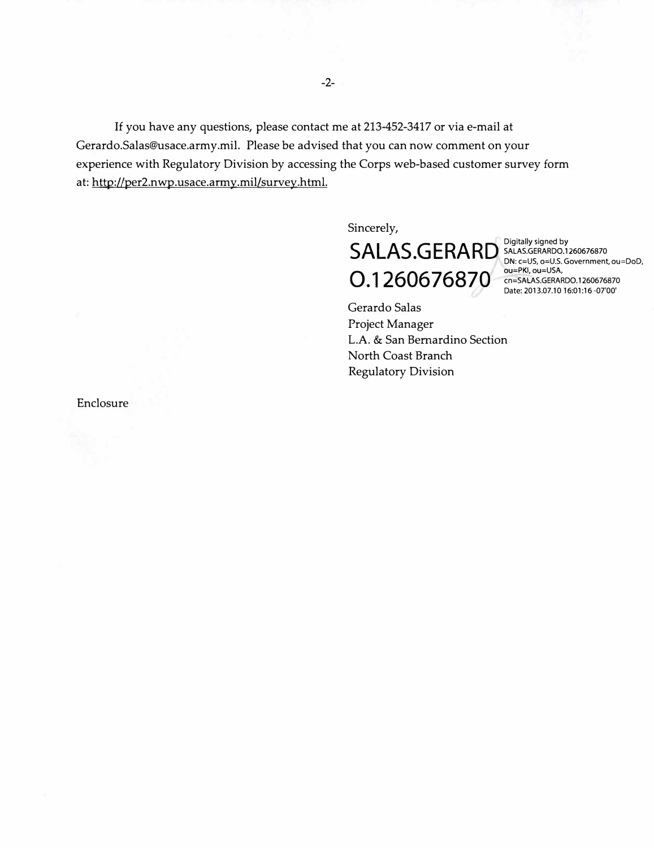If you have any questions, please contact me at 213-452-3417 or via e-mail at [Gerardo.Salas@usace.army.mil](mailto:Gerardo.Salas@usace.army.mil). Please be advised that you can now comment on your experience with Regulatory Division by accessing the Corps web-based customer survey form at: http://per2.nwp.usace.army.mil/survey.html.

Sincerely,

# Digitally signed by **SA LAS• GERARD** SALAS.GERARDO.1260676870 DN: c=US, o=U.S. Government, ou=DoD, ou=PKl,ou=USA, 0 cn=SALAS.GERARD0.1260676870 • 1260676870 Date: [2013.07.10](https://2013.07.10) 16:01:16--07'00'

Gerardo Salas Project Manager L.A. & San Bernardino Section North Coast Branch Regulatory Division

Enclosure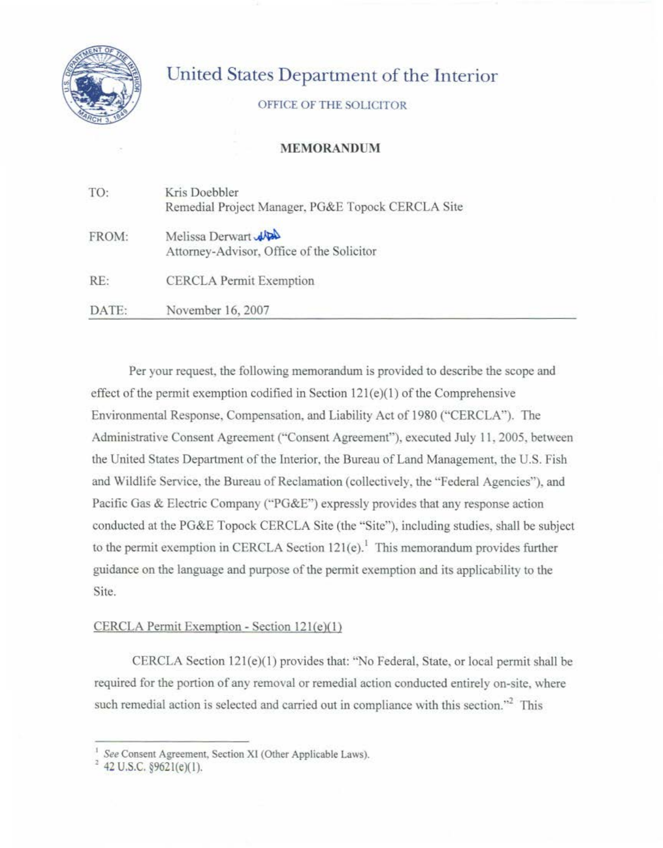

## United States Department of the Interior

OFFICE OFTHE SOLICITOR

#### **MEMORANDUM**

| TO:   | Kris Doebbler<br>Remedial Project Manager, PG&E Topock CERCLA Site |
|-------|--------------------------------------------------------------------|
| FROM: | Melissa Derwart<br>Attorney-Advisor, Office of the Solicitor       |
| RE:   | <b>CERCLA Permit Exemption</b>                                     |
| DATE: | November 16, 2007                                                  |

Per your request. the following memorandum is provided to describe the scope and effect of the permit exemption codified in Section  $121(e)(1)$  of the Comprehensive Environmental Response, Compensation, and Liability Act of 1980 ("CERCLA'). The Administrative Consent Agreement ("Consent Agreement"), executed July 11 , 2005, between the United States Department of the Interior, the Bureau of Land Management, the U.S. Fish and Wildlife Service, the Bureau of Reclamation (collectively, the "Federal Agencies"), and Pacific Gas & Electric Company ("PG&E") expressly provides that any response action conducted at the PG&E Topock CERCLA Site (the "Site"), including studies, shall be subject to the permit exemption in CERCLA Section  $121(e)$ .<sup>1</sup> This memorandum provides further guidance on the language and purpose of the permit exemption and its applicability to the Site.

#### CERCLA Permit Exemption - Section 121(e)(l)

CERCLA Section 12l(e)(l) provides that: "No Federal, State, or local permit shall be required for the portion of any removal or remedial action conducted entirely on-site, where such remedial action is selected and carried out in compliance with this section."<sup>2</sup> This

<sup>&</sup>lt;sup>1</sup> See Consent Agreement, Section XI (Other Applicable Laws).

<sup>&#</sup>x27; 42 U.S.C. §9621(e)(I).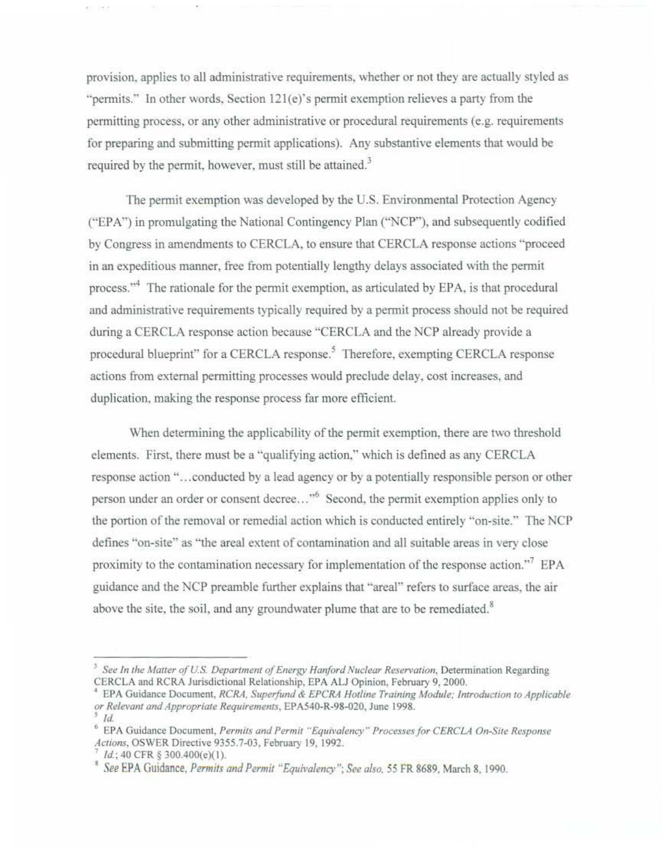provision, applies to all administrative requirements, whether or not they are actually styled as "permits." In other words, Section 121(e)'s permit exemption relieves a party from the permitting process, or any other administrative or procedural requirements (e.g. requirements for preparing and submitting permit applications). Any substantive elements that would be required by the permit, however, must still be attained.<sup>3</sup>

The permit exemption was developed by the U.S. Environmental Protection Agency ("EPA'') in promulgating the National Contingency Plan ("NCP"), and subsequently codified by Congress in amendments to CERCLA, to ensure that CERCLA response actions "proceed in an expeditious manner, free from potentially lengthy delays associated with the permit process."<sup>4</sup> The rationale for the permit exemption, as articulated by EPA, is that procedural and administrative requirements typically required by a permit process should not be required during a CERCLA response action because "CERCLA and the NCP already provide a procedural blueprint" for a CERCLA response.<sup>5</sup> Therefore, exempting CERCLA response actions from external permitting processes would preclude delay, cost increases, and duplication, making the response process far more efficient.

When determining the applicability of the permit exemption, there are two threshold elements. First, there must be a "qualifying action." which is defined as any CERCLA response action"... conducted by a lead agency or by a potentially responsible person or other person under an order or consent decree..."<sup>6</sup> Second, the permit exemption applies only to the portion of the removal or remedial action which is conducted entirely ·'on-site:' The NCP defines "on-site" as "the areal extent of contamination and all suitable areas in very close proximity to the contamination necessary for implementation of the response action."<sup>7</sup> EPA guidance and the NCP preamble further explains that "areal" refers to surface areas, the air above the site, the soil, and any groundwater plume that are to be remediated.<sup>8</sup>

紙 日和

<sup>&</sup>lt;sup>3</sup> See In the Matter of U.S. Department of Energy Hanford Nuclear Reservation, Determination Regarding CERCLA and RCRA Jurisdictional Relationship, EPA ALJ Opinion, February 9, 2000.

<sup>&</sup>lt;sup>4</sup> EPA Guidance Document, *RCRA, Superfund & EPCRA Hotline Training Module; Introduction to Applicable or Relevam andAppropriate Requirements,* EPA540-R-98-020, June 1998. *s* Id.

<sup>&</sup>lt;sup>6</sup> EPA Guidance Document, *Permits and Permit "Equivalency" Processes for CERCLA On-Site Response*<br>Actions, OSWER Directive 9355.7-03, February 19, 1992.

*Actions,* OSWER Directive 9355.7-03, February 19. 1992. <sup>7</sup>Id.; 40 CFR § 300.400(e)(l). 8 *See* EPA Guidance, *Permits and Permit "£quivalency"; See also. 55* FR 8689, March 8, 1990.